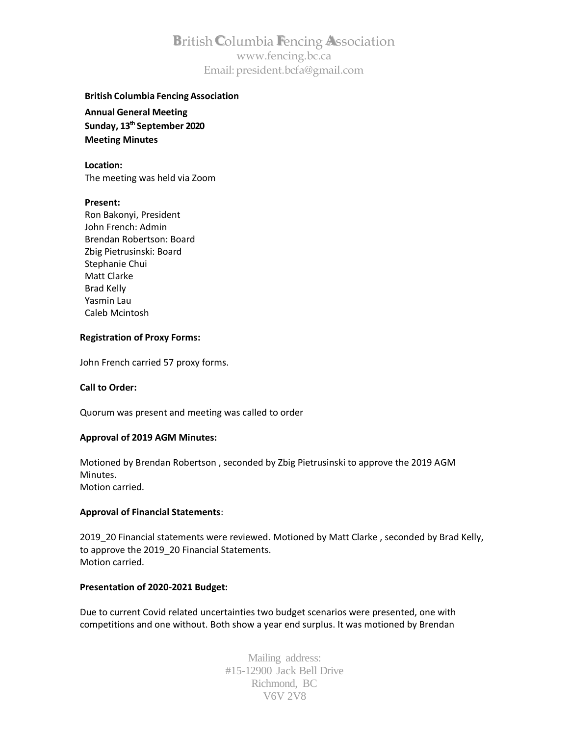# **B**ritish**C**olumbia **F**encing **A**ssociation [www.fencing.bc.ca](http://www.fencing.bc.ca/) Email[:president.bcfa@gmail.com](mailto:president.bcfa@gmail.com)

# **British Columbia Fencing Association**

**Annual General Meeting Sunday, 13th September 2020 Meeting Minutes**

**Location:** The meeting was held via Zoom

### **Present:**

Ron Bakonyi, President John French: Admin Brendan Robertson: Board Zbig Pietrusinski: Board Stephanie Chui Matt Clarke Brad Kelly Yasmin Lau Caleb Mcintosh

# **Registration of Proxy Forms:**

John French carried 57 proxy forms.

### **Call to Order:**

Quorum was present and meeting was called to order

### **Approval of 2019 AGM Minutes:**

Motioned by Brendan Robertson , seconded by Zbig Pietrusinski to approve the 2019 AGM Minutes. Motion carried.

# **Approval of Financial Statements**:

2019\_20 Financial statements were reviewed. Motioned by Matt Clarke , seconded by Brad Kelly, to approve the 2019\_20 Financial Statements. Motion carried.

## **Presentation of 2020-2021 Budget:**

Due to current Covid related uncertainties two budget scenarios were presented, one with competitions and one without. Both show a year end surplus. It was motioned by Brendan

> Mailing address: #15-12900 Jack Bell Drive Richmond, BC V6V 2V8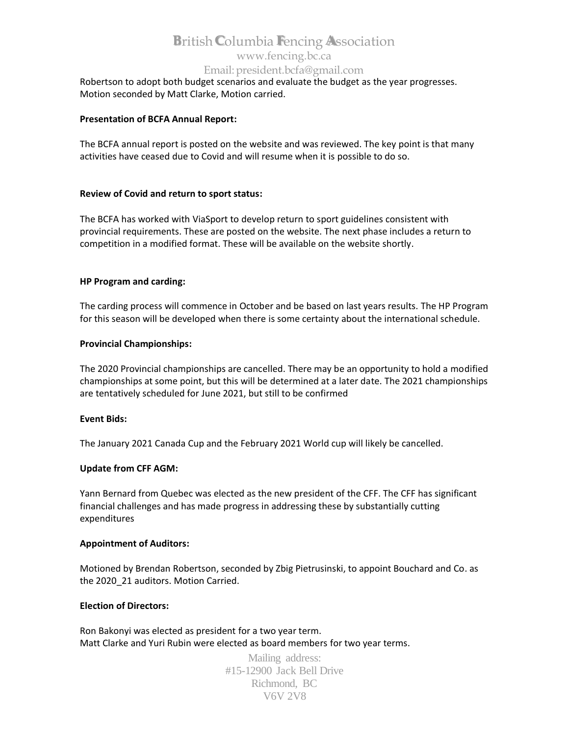# **B**ritish**C**olumbia **F**encing **A**ssociation [www.fencing.bc.ca](http://www.fencing.bc.ca/) Email[:president.bcfa@gmail.com](mailto:president.bcfa@gmail.com)

Robertson to adopt both budget scenarios and evaluate the budget as the year progresses. Motion seconded by Matt Clarke, Motion carried.

# **Presentation of BCFA Annual Report:**

The BCFA annual report is posted on the website and was reviewed. The key point is that many activities have ceased due to Covid and will resume when it is possible to do so.

# **Review of Covid and return to sport status:**

The BCFA has worked with ViaSport to develop return to sport guidelines consistent with provincial requirements. These are posted on the website. The next phase includes a return to competition in a modified format. These will be available on the website shortly.

# **HP Program and carding:**

The carding process will commence in October and be based on last years results. The HP Program for this season will be developed when there is some certainty about the international schedule.

### **Provincial Championships:**

The 2020 Provincial championships are cancelled. There may be an opportunity to hold a modified championships at some point, but this will be determined at a later date. The 2021 championships are tentatively scheduled for June 2021, but still to be confirmed

### **Event Bids:**

The January 2021 Canada Cup and the February 2021 World cup will likely be cancelled.

### **Update from CFF AGM:**

Yann Bernard from Quebec was elected as the new president of the CFF. The CFF has significant financial challenges and has made progress in addressing these by substantially cutting expenditures

### **Appointment of Auditors:**

Motioned by Brendan Robertson, seconded by Zbig Pietrusinski, to appoint Bouchard and Co. as the 2020 21 auditors. Motion Carried.

### **Election of Directors:**

Ron Bakonyi was elected as president for a two year term. Matt Clarke and Yuri Rubin were elected as board members for two year terms.

> Mailing address: #15-12900 Jack Bell Drive Richmond, BC V6V 2V8